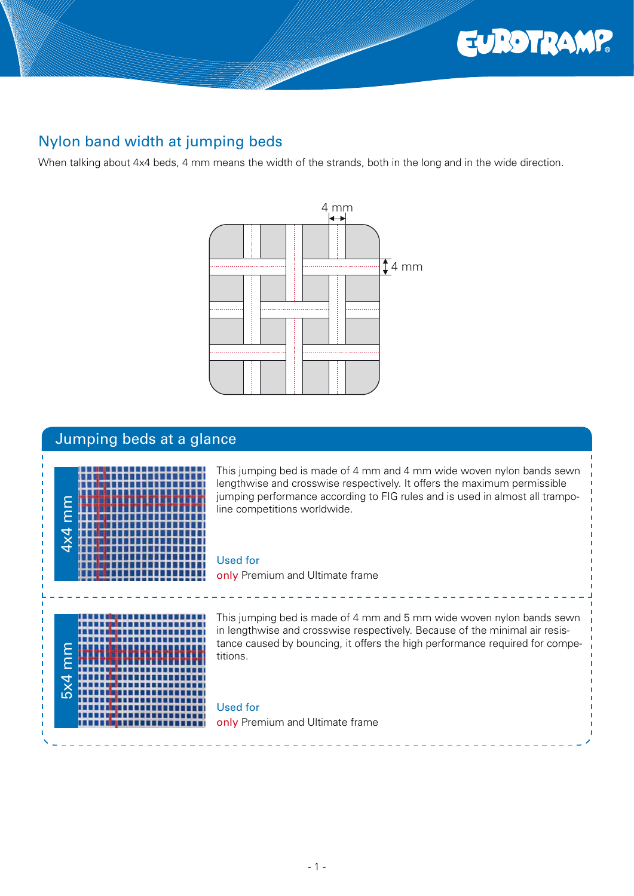

# Nylon band width at jumping beds

When talking about 4x4 beds, 4 mm means the width of the strands, both in the long and in the wide direction.



# Jumping beds at a glance



This jumping bed is made of 4 mm and 4 mm wide woven nylon bands sewn lengthwise and crosswise respectively. It offers the maximum permissible jumping performance according to FIG rules and is used in almost all trampoline competitions worldwide.

#### Used for

only Premium and Ultimate frame



This jumping bed is made of 4 mm and 5 mm wide woven nylon bands sewn in lengthwise and crosswise respectively. Because of the minimal air resistance caused by bouncing, it offers the high performance required for competitions.

Used for only Premium and Ultimate frame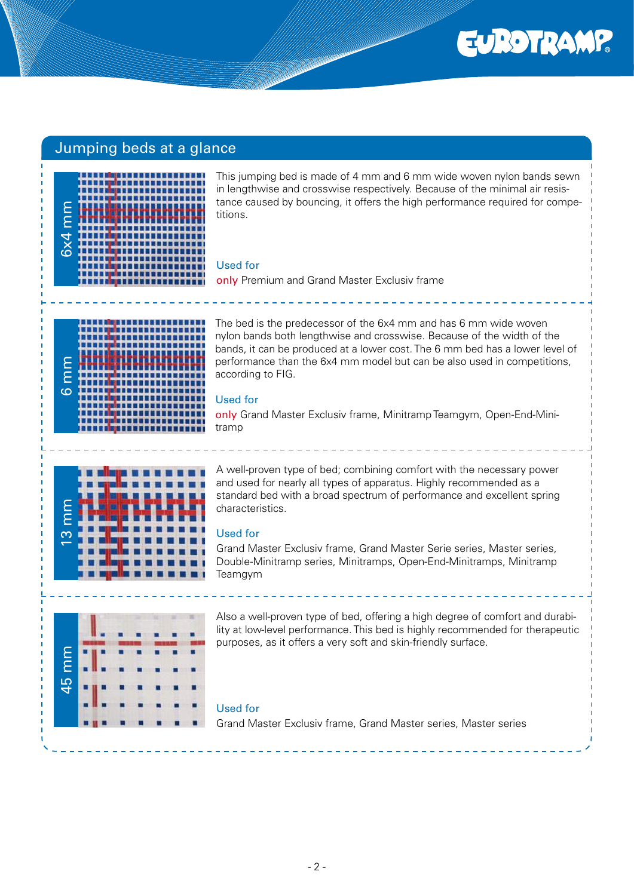

### Jumping beds at a glance



This jumping bed is made of 4 mm and 6 mm wide woven nylon bands sewn in lengthwise and crosswise respectively. Because of the minimal air resistance caused by bouncing, it offers the high performance required for competitions.

#### Used for

only Premium and Grand Master Exclusiv frame

|        | ,,,,,,,,,,,,,,<br>Τ<br>.<br>m<br>┓<br>11 I |
|--------|--------------------------------------------|
| Ε<br>Ξ |                                            |
|        |                                            |
|        |                                            |
| ဖ      | п<br>Т<br>ı<br>s                           |
|        | Т<br>٦<br>ı                                |
|        |                                            |

The bed is the predecessor of the 6x4 mm and has 6 mm wide woven nylon bands both lengthwise and crosswise. Because of the width of the bands, it can be produced at a lower cost. The 6 mm bed has a lower level of performance than the 6x4 mm model but can be also used in competitions, according to FIG.

#### Used for

only Grand Master Exclusiy frame, Minitramp Teamgym, Open-End-Minitramp



A well-proven type of bed; combining comfort with the necessary power and used for nearly all types of apparatus. Highly recommended as a standard bed with a broad spectrum of performance and excellent spring characteristics.

#### Used for

Grand Master Exclusiv frame, Grand Master Serie series, Master series, Double-Minitramp series, Minitramps, Open-End-Minitramps, Minitramp Teamgym



Also a well-proven type of bed, offering a high degree of comfort and durability at low-level performance. This bed is highly recommended for therapeutic purposes, as it offers a very soft and skin-friendly surface.

#### Used for

Grand Master Exclusiv frame, Grand Master series, Master series